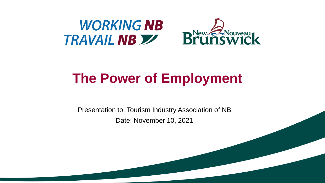

### **The Power of Employment**

Presentation to: Tourism Industry Association of NB Date: November 10, 2021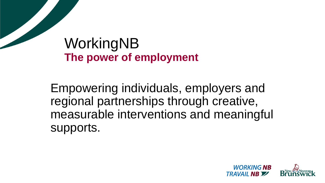### WorkingNB **The power of employment**

Empowering individuals, employers and regional partnerships through creative, measurable interventions and meaningful supports.

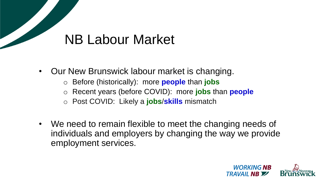### NB Labour Market

- Our New Brunswick labour market is changing.
	- o Before (historically): more **people** than **jobs**
	- o Recent years (before COVID): more **jobs** than **people**
	- o Post COVID: Likely a **jobs**/**skills** mismatch
- We need to remain flexible to meet the changing needs of individuals and employers by changing the way we provide employment services.

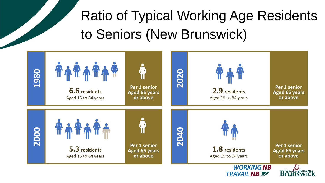## Ratio of Typical Working Age Residents to Seniors (New Brunswick)

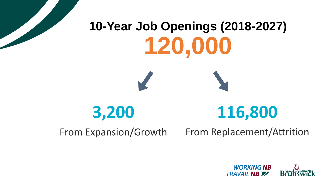

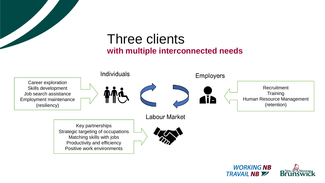

### Three clients **with multiple interconnected needs**



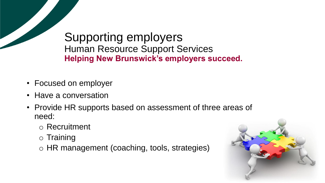Supporting employers Human Resource Support Services **Helping New Brunswick's employers succeed.**

- Focused on employer
- Have a conversation
- Provide HR supports based on assessment of three areas of need:
	- o Recruitment
	- o Training
	- o HR management (coaching, tools, strategies)

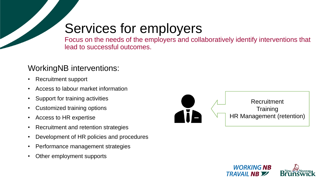### Services for employers

Focus on the needs of the employers and collaboratively identify interventions that lead to successful outcomes.

#### WorkingNB interventions:

- Recruitment support
- Access to labour market information
- Support for training activities
- Customized training options
- Access to HR expertise
- Recruitment and retention strategies
- Development of HR policies and procedures
- Performance management strategies
- Other employment supports



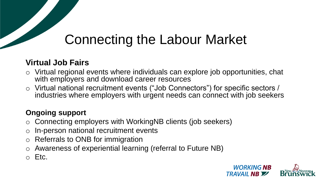### Connecting the Labour Market

#### **Virtual Job Fairs**

- $\circ$  Virtual regional events where individuals can explore job opportunities, chat with employers and download career resources
- o Virtual national recruitment events ("Job Connectors") for specific sectors / industries where employers with urgent needs can connect with job seekers

#### **Ongoing support**

- o Connecting employers with WorkingNB clients (job seekers)
- o In-person national recruitment events
- o Referrals to ONB for immigration
- Awareness of experiential learning (referral to Future NB)
- o Etc.

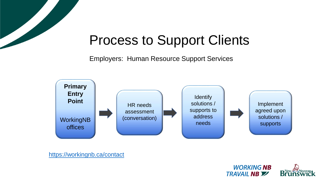

### Process to Support Clients

Employers: Human Resource Support Services



<https://workingnb.ca/contact>